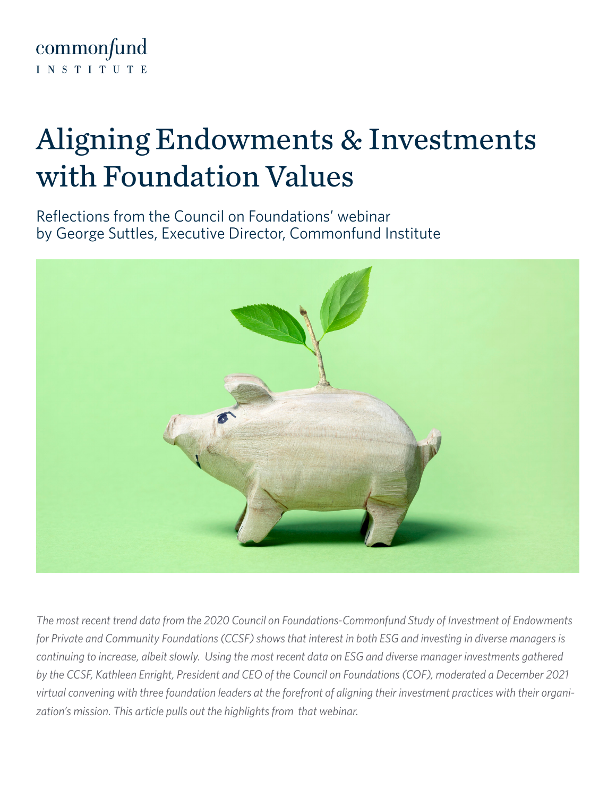

## Aligning Endowments & Investments with Foundation Values

Reflections from the Council on Foundations' webinar by George Suttles, Executive Director, Commonfund Institute



*The most recent trend data from the 2020 Council on Foundations-Commonfund Study of Investment of Endowments*  for Private and Community Foundations (CCSF) shows that interest in both ESG and investing in diverse managers is *continuing to increase, albeit slowly. Using the most recent data on ESG and diverse manager investments gathered by the CCSF, Kathleen Enright, President and CEO of the Council on Foundations (COF), moderated a December 2021 virtual convening with three foundation leaders at the forefront of aligning their investment practices with their organization's mission. This article pulls out the highlights from that webinar.*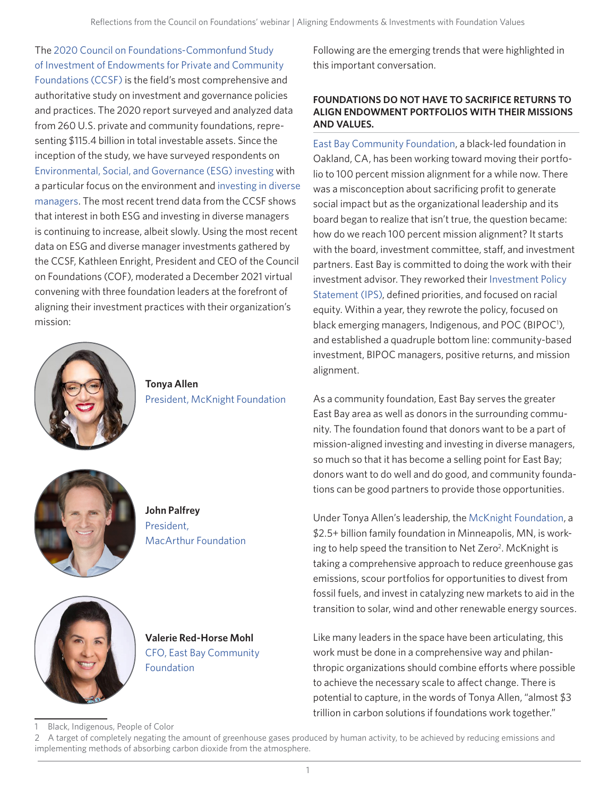The [2020 Council on Foundations-Commonfund Study](https://info.commonfund.org/cof-commonfund-study-of-foundations)  [of Investment of Endowments for Private and Community](https://info.commonfund.org/cof-commonfund-study-of-foundations)  [Foundations \(CCSF\)](https://info.commonfund.org/cof-commonfund-study-of-foundations) is the field's most comprehensive and authoritative study on investment and governance policies and practices. The 2020 report surveyed and analyzed data from 260 U.S. private and community foundations, representing \$115.4 billion in total investable assets. Since the inception of the study, we have surveyed respondents on [Environmental, Social, and Governance \(ESG\) investing](https://www.commonfund.org/blog/getting-started-responsible-investing) with a particular focus on the environment and [investing in diverse](https://www.commonfund.org/blog/how-to-invest-in-diverse-managers)  [managers.](https://www.commonfund.org/blog/how-to-invest-in-diverse-managers) The most recent trend data from the CCSF shows that interest in both ESG and investing in diverse managers is continuing to increase, albeit slowly. Using the most recent data on ESG and diverse manager investments gathered by the CCSF, Kathleen Enright, President and CEO of the Council on Foundations (COF), moderated a December 2021 virtual convening with three foundation leaders at the forefront of aligning their investment practices with their organization's mission:



**Tonya Allen** [President, McKnight Foundation](https://www.mcknight.org/news-ideas/tonya-allen-president-of-the-mcknight-foundation/)



**John Palfrey** [President,](https://www.macfound.org/about/people/president)  [MacArthur Foundation](https://www.macfound.org/about/people/president)



**Valerie Red-Horse Mohl** [CFO, East Bay Community](https://www.ebcf.org/person/valerie-red-horse-mohl/)  [Foundation](https://www.ebcf.org/person/valerie-red-horse-mohl/)

Following are the emerging trends that were highlighted in this important conversation.

#### **FOUNDATIONS DO NOT HAVE TO SACRIFICE RETURNS TO ALIGN ENDOWMENT PORTFOLIOS WITH THEIR MISSIONS AND VALUES.**

[East Bay Community Foundation,](https://www.ebcf.org/) a black-led foundation in Oakland, CA, has been working toward moving their portfolio to 100 percent mission alignment for a while now. There was a misconception about sacrificing profit to generate social impact but as the organizational leadership and its board began to realize that isn't true, the question became: how do we reach 100 percent mission alignment? It starts with the board, investment committee, staff, and investment partners. East Bay is committed to doing the work with their investment advisor. They reworked their [Investment Policy](https://www.commonfund.org/blog/drafting-your-investment-policy-statement-10-critical-issues-post)  [Statement \(IPS\)](https://www.commonfund.org/blog/drafting-your-investment-policy-statement-10-critical-issues-post), defined priorities, and focused on racial equity. Within a year, they rewrote the policy, focused on black emerging managers, Indigenous, and POC (BIPOC<sup>1</sup>), and established a quadruple bottom line: community-based investment, BIPOC managers, positive returns, and mission alignment.

As a community foundation, East Bay serves the greater East Bay area as well as donors in the surrounding community. The foundation found that donors want to be a part of mission-aligned investing and investing in diverse managers, so much so that it has become a selling point for East Bay; donors want to do well and do good, and community foundations can be good partners to provide those opportunities.

Under Tonya Allen's leadership, the [McKnight Foundation](https://www.mcknight.org/), a \$2.5+ billion family foundation in Minneapolis, MN, is working to help speed the transition to Net Zero<sup>2</sup>. McKnight is taking a comprehensive approach to reduce greenhouse gas emissions, scour portfolios for opportunities to divest from fossil fuels, and invest in catalyzing new markets to aid in the transition to solar, wind and other renewable energy sources.

Like many leaders in the space have been articulating, this work must be done in a comprehensive way and philanthropic organizations should combine efforts where possible to achieve the necessary scale to affect change. There is potential to capture, in the words of Tonya Allen, "almost \$3 trillion in carbon solutions if foundations work together."

Black, Indigenous, People of Color

<sup>2</sup> A target of completely negating the amount of greenhouse gases produced by human activity, to be achieved by reducing emissions and implementing methods of absorbing carbon dioxide from the atmosphere.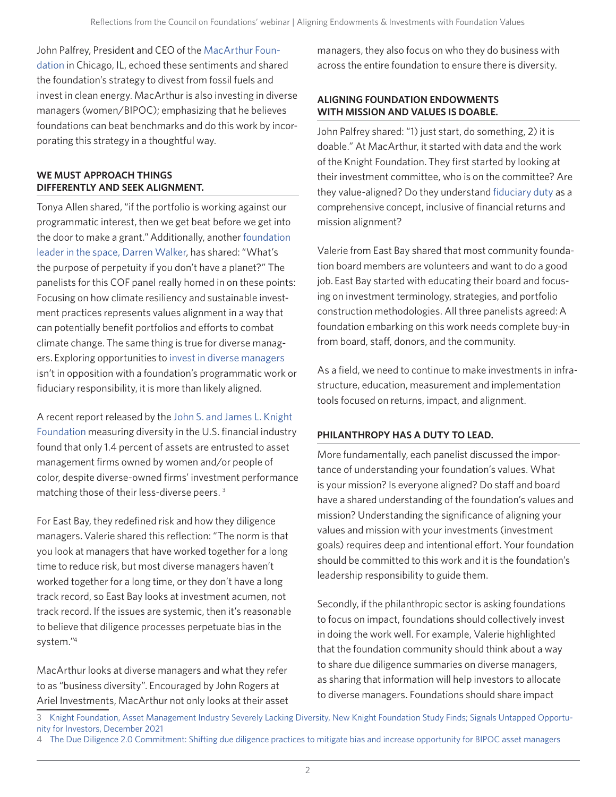John Palfrey, President and CEO of the [MacArthur Foun](https://www.macfound.org/)[dation](https://www.macfound.org/) in Chicago, IL, echoed these sentiments and shared the foundation's strategy to divest from fossil fuels and invest in clean energy. MacArthur is also investing in diverse managers (women/BIPOC); emphasizing that he believes foundations can beat benchmarks and do this work by incorporating this strategy in a thoughtful way.

#### **WE MUST APPROACH THINGS DIFFERENTLY AND SEEK ALIGNMENT.**

Tonya Allen shared, "if the portfolio is working against our programmatic interest, then we get beat before we get into the door to make a grant." Additionally, another [foundation](https://www.fordfoundation.org/about/people/darren-walker/)  [leader in the space, Darren Walker,](https://www.fordfoundation.org/about/people/darren-walker/) has shared: "What's the purpose of perpetuity if you don't have a planet?" The panelists for this COF panel really homed in on these points: Focusing on how climate resiliency and sustainable investment practices represents values alignment in a way that can potentially benefit portfolios and efforts to combat climate change. The same thing is true for diverse managers. Exploring opportunities to [invest in diverse managers](https://www.commonfund.org/blog/including-diverse-managers-in-your-portfolio) isn't in opposition with a foundation's programmatic work or fiduciary responsibility, it is more than likely aligned.

A recent report released by the [John S. and James L. Knight](https://knightfoundation.org/)  [Foundation](https://knightfoundation.org/) measuring diversity in the U.S. financial industry found that only 1.4 percent of assets are entrusted to asset management firms owned by women and/or people of color, despite diverse-owned firms' investment performance matching those of their less-diverse peers.<sup>3</sup>

For East Bay, they redefined risk and how they diligence managers. Valerie shared this reflection: "The norm is that you look at managers that have worked together for a long time to reduce risk, but most diverse managers haven't worked together for a long time, or they don't have a long track record, so East Bay looks at investment acumen, not track record. If the issues are systemic, then it's reasonable to believe that diligence processes perpetuate bias in the system."4

MacArthur looks at diverse managers and what they refer to as "business diversity". Encouraged by John Rogers at Ariel Investments, MacArthur not only looks at their asset managers, they also focus on who they do business with across the entire foundation to ensure there is diversity.

#### **ALIGNING FOUNDATION ENDOWMENTS WITH MISSION AND VALUES IS DOABLE.**

John Palfrey shared: "1) just start, do something, 2) it is doable." At MacArthur, it started with data and the work of the Knight Foundation. They first started by looking at their investment committee, who is on the committee? Are they value-aligned? Do they understand [fiduciary duty](https://www.commonfund.org/blog/post-fiduciary-responsibility-a-boards-purpose-and-roles) as a comprehensive concept, inclusive of financial returns and mission alignment?

Valerie from East Bay shared that most community foundation board members are volunteers and want to do a good job. East Bay started with educating their board and focusing on investment terminology, strategies, and portfolio construction methodologies. All three panelists agreed: A foundation embarking on this work needs complete buy-in from board, staff, donors, and the community.

As a field, we need to continue to make investments in infrastructure, education, measurement and implementation tools focused on returns, impact, and alignment.

#### **PHILANTHROPY HAS A DUTY TO LEAD.**

More fundamentally, each panelist discussed the importance of understanding your foundation's values. What is your mission? Is everyone aligned? Do staff and board have a shared understanding of the foundation's values and mission? Understanding the significance of aligning your values and mission with your investments (investment goals) requires deep and intentional effort. Your foundation should be committed to this work and it is the foundation's leadership responsibility to guide them.

Secondly, if the philanthropic sector is asking foundations to focus on impact, foundations should collectively invest in doing the work well. For example, Valerie highlighted that the foundation community should think about a way to share due diligence summaries on diverse managers, as sharing that information will help investors to allocate to diverse managers. Foundations should share impact

<sup>3</sup> [Knight Foundation, Asset Management Industry Severely Lacking Diversity, New Knight Foundation Study Finds; Signals Untapped Opportu-](https://knightfoundation.org/press/releases/asset-management-industry-severely-lacking-diversity-new-knight-foundation-study-finds-signals-untapped-opportunity-for-investors/)

[nity for Investors, December 2021](https://knightfoundation.org/press/releases/asset-management-industry-severely-lacking-diversity-new-knight-foundation-study-finds-signals-untapped-opportunity-for-investors/)

<sup>4</sup> [The Due Diligence 2.0 Commitment: Shifting due diligence practices to mitigate bias and increase opportunity for BIPOC asset managers](https://www.duediligencecommitment.com/)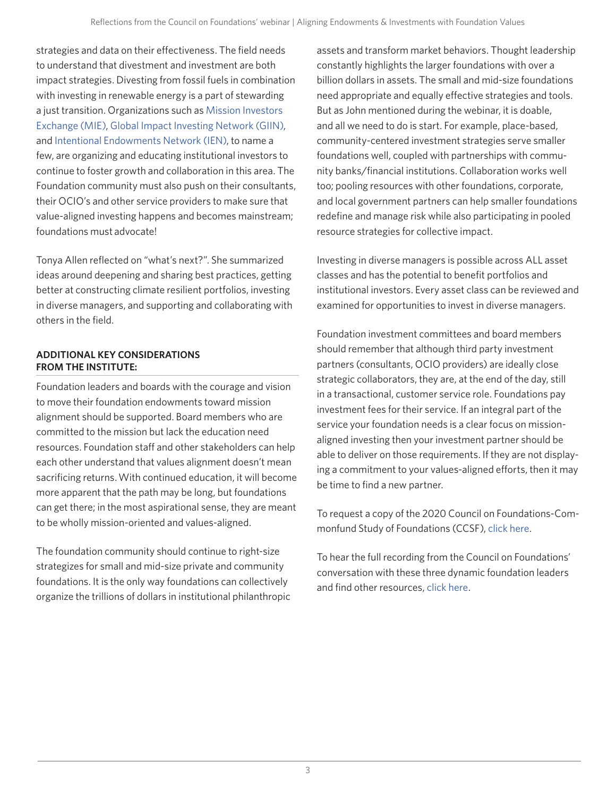strategies and data on their effectiveness. The field needs to understand that divestment and investment are both impact strategies. Divesting from fossil fuels in combination with investing in renewable energy is a part of stewarding a just transition. Organizations such as [Mission Investors](https://missioninvestors.org/)  [Exchange \(MIE\)](https://missioninvestors.org/), [Global Impact Investing Network \(GIIN\),](https://thegiin.org/) and [Intentional Endowments Network \(IEN\)](https://www.intentionalendowments.org/), to name a few, are organizing and educating institutional investors to continue to foster growth and collaboration in this area. The Foundation community must also push on their consultants, their OCIO's and other service providers to make sure that value-aligned investing happens and becomes mainstream; foundations must advocate!

Tonya Allen reflected on "what's next?". She summarized ideas around deepening and sharing best practices, getting better at constructing climate resilient portfolios, investing in diverse managers, and supporting and collaborating with others in the field.

#### **ADDITIONAL KEY CONSIDERATIONS FROM THE INSTITUTE:**

Foundation leaders and boards with the courage and vision to move their foundation endowments toward mission alignment should be supported. Board members who are committed to the mission but lack the education need resources. Foundation staff and other stakeholders can help each other understand that values alignment doesn't mean sacrificing returns. With continued education, it will become more apparent that the path may be long, but foundations can get there; in the most aspirational sense, they are meant to be wholly mission-oriented and values-aligned.

The foundation community should continue to right-size strategizes for small and mid-size private and community foundations. It is the only way foundations can collectively organize the trillions of dollars in institutional philanthropic assets and transform market behaviors. Thought leadership constantly highlights the larger foundations with over a billion dollars in assets. The small and mid-size foundations need appropriate and equally effective strategies and tools. But as John mentioned during the webinar, it is doable, and all we need to do is start. For example, place-based, community-centered investment strategies serve smaller foundations well, coupled with partnerships with community banks/financial institutions. Collaboration works well too; pooling resources with other foundations, corporate, and local government partners can help smaller foundations redefine and manage risk while also participating in pooled resource strategies for collective impact.

Investing in diverse managers is possible across ALL asset classes and has the potential to benefit portfolios and institutional investors. Every asset class can be reviewed and examined for opportunities to invest in diverse managers.

Foundation investment committees and board members should remember that although third party investment partners (consultants, OCIO providers) are ideally close strategic collaborators, they are, at the end of the day, still in a transactional, customer service role. Foundations pay investment fees for their service. If an integral part of the service your foundation needs is a clear focus on missionaligned investing then your investment partner should be able to deliver on those requirements. If they are not displaying a commitment to your values-aligned efforts, then it may be time to find a new partner.

To request a copy of the 2020 Council on Foundations-Commonfund Study of Foundations (CCSF), [click here](https://info.commonfund.org/cof-commonfund-study-of-foundations).

To hear the full recording from the Council on Foundations' conversation with these three dynamic foundation leaders and find other resources, [click here.](https://www.cof.org/node/15913/field_event_date/addtocal-yahoo)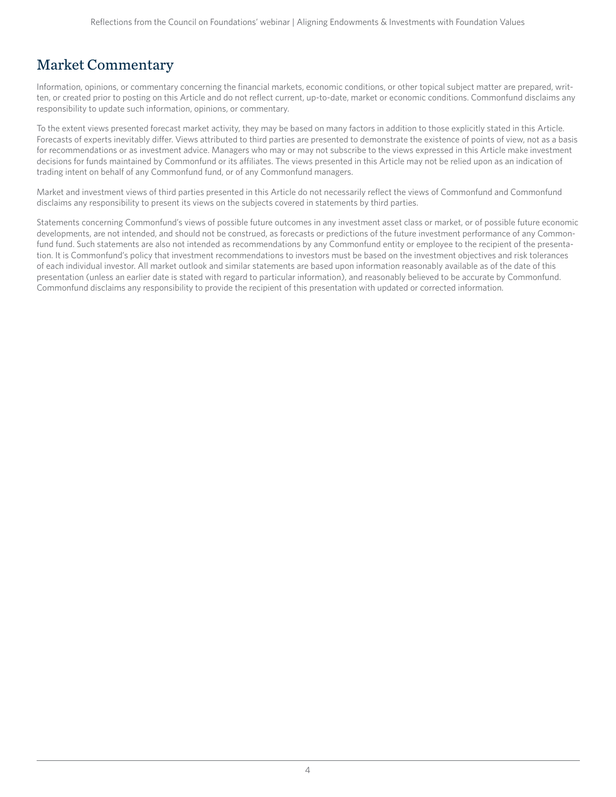### Market Commentary

Information, opinions, or commentary concerning the financial markets, economic conditions, or other topical subject matter are prepared, written, or created prior to posting on this Article and do not reflect current, up-to-date, market or economic conditions. Commonfund disclaims any responsibility to update such information, opinions, or commentary.

To the extent views presented forecast market activity, they may be based on many factors in addition to those explicitly stated in this Article. Forecasts of experts inevitably differ. Views attributed to third parties are presented to demonstrate the existence of points of view, not as a basis for recommendations or as investment advice. Managers who may or may not subscribe to the views expressed in this Article make investment decisions for funds maintained by Commonfund or its affiliates. The views presented in this Article may not be relied upon as an indication of trading intent on behalf of any Commonfund fund, or of any Commonfund managers.

Market and investment views of third parties presented in this Article do not necessarily reflect the views of Commonfund and Commonfund disclaims any responsibility to present its views on the subjects covered in statements by third parties.

Statements concerning Commonfund's views of possible future outcomes in any investment asset class or market, or of possible future economic developments, are not intended, and should not be construed, as forecasts or predictions of the future investment performance of any Commonfund fund. Such statements are also not intended as recommendations by any Commonfund entity or employee to the recipient of the presentation. It is Commonfund's policy that investment recommendations to investors must be based on the investment objectives and risk tolerances of each individual investor. All market outlook and similar statements are based upon information reasonably available as of the date of this presentation (unless an earlier date is stated with regard to particular information), and reasonably believed to be accurate by Commonfund. Commonfund disclaims any responsibility to provide the recipient of this presentation with updated or corrected information.